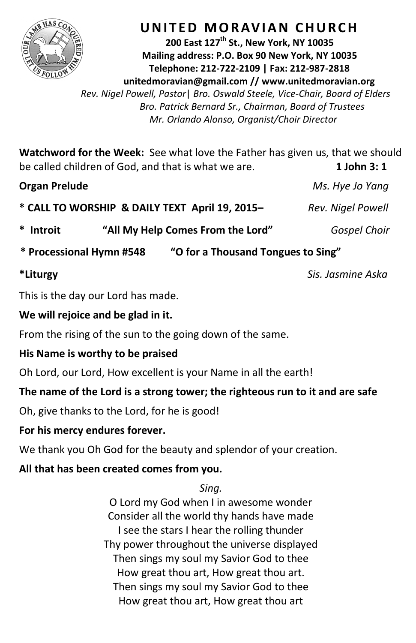

# **UNITED MORAVIAN CHURCH**

**200 East 127th St., New York, NY 10035 Mailing address: P.O. Box 90 New York, NY 10035 Telephone: 212-722-2109 | Fax: 212-987-2818 unitedmoravian@gmail.com // www.unitedmoravian.org**

 *Rev. Nigel Powell, Pastor*| *Bro. Oswald Steele, Vice-Chair, Board of Elders Bro. Patrick Bernard Sr., Chairman, Board of Trustees Mr. Orlando Alonso, Organist/Choir Director*

**Watchword for the Week:** See what love the Father has given us, that we should be called children of God, and that is what we are. **1 John 3: 1** 

| Organ Prelude                                  | Ms. Hye Jo Yang   |
|------------------------------------------------|-------------------|
| * CALL TO WORSHIP & DAILY TEXT April 19, 2015- | Rev. Nigel Powell |

- **\* Introit "All My Help Comes From the Lord"** *Gospel Choir*
- **\* Processional Hymn #548 "O for a Thousand Tongues to Sing"**

**\*Liturgy** *Sis. Jasmine Aska*

This is the day our Lord has made.

# **We will rejoice and be glad in it.**

From the rising of the sun to the going down of the same.

# **His Name is worthy to be praised**

Oh Lord, our Lord, How excellent is your Name in all the earth!

# **The name of the Lord is a strong tower; the righteous run to it and are safe**

Oh, give thanks to the Lord, for he is good!

# **For his mercy endures forever.**

We thank you Oh God for the beauty and splendor of your creation.

# **All that has been created comes from you.**

# *Sing.*

O Lord my God when I in awesome wonder Consider all the world thy hands have made I see the stars I hear the rolling thunder Thy power throughout the universe displayed Then sings my soul my Savior God to thee How great thou art, How great thou art. Then sings my soul my Savior God to thee How great thou art, How great thou art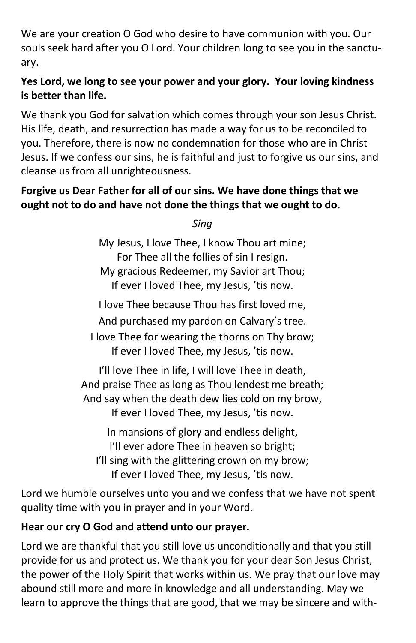We are your creation O God who desire to have communion with you. Our souls seek hard after you O Lord. Your children long to see you in the sanctuary.

# **Yes Lord, we long to see your power and your glory. Your loving kindness is better than life.**

We thank you God for salvation which comes through your son Jesus Christ. His life, death, and resurrection has made a way for us to be reconciled to you. Therefore, there is now no condemnation for those who are in Christ Jesus. If we confess our sins, he is faithful and just to forgive us our sins, and cleanse us from all unrighteousness.

### **Forgive us Dear Father for all of our sins. We have done things that we ought not to do and have not done the things that we ought to do.**

*Sing*

My Jesus, I love Thee, I know Thou art mine; For Thee all the follies of sin I resign. My gracious Redeemer, my Savior art Thou; If ever I loved Thee, my Jesus, 'tis now.

I love Thee because Thou has first loved me,

And purchased my pardon on Calvary's tree.

I love Thee for wearing the thorns on Thy brow; If ever I loved Thee, my Jesus, 'tis now.

I'll love Thee in life, I will love Thee in death, And praise Thee as long as Thou lendest me breath; And say when the death dew lies cold on my brow, If ever I loved Thee, my Jesus, 'tis now.

In mansions of glory and endless delight, I'll ever adore Thee in heaven so bright; I'll sing with the glittering crown on my brow; If ever I loved Thee, my Jesus, 'tis now.

Lord we humble ourselves unto you and we confess that we have not spent quality time with you in prayer and in your Word.

# **Hear our cry O God and attend unto our prayer.**

Lord we are thankful that you still love us unconditionally and that you still provide for us and protect us. We thank you for your dear Son Jesus Christ, the power of the Holy Spirit that works within us. We pray that our love may abound still more and more in knowledge and all understanding. May we learn to approve the things that are good, that we may be sincere and with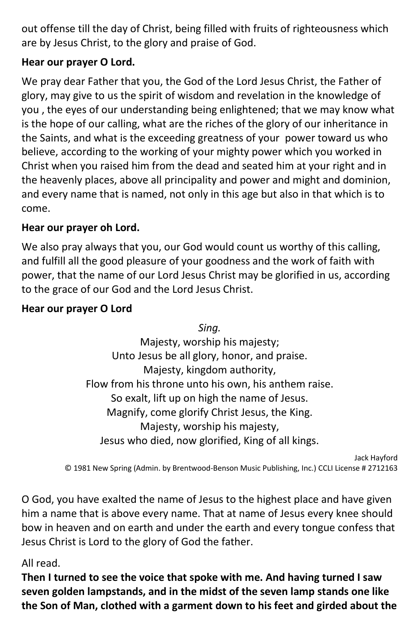out offense till the day of Christ, being filled with fruits of righteousness which are by Jesus Christ, to the glory and praise of God.

### **Hear our prayer O Lord.**

We pray dear Father that you, the God of the Lord Jesus Christ, the Father of glory, may give to us the spirit of wisdom and revelation in the knowledge of you , the eyes of our understanding being enlightened; that we may know what is the hope of our calling, what are the riches of the glory of our inheritance in the Saints, and what is the exceeding greatness of your power toward us who believe, according to the working of your mighty power which you worked in Christ when you raised him from the dead and seated him at your right and in the heavenly places, above all principality and power and might and dominion, and every name that is named, not only in this age but also in that which is to come.

### **Hear our prayer oh Lord.**

We also pray always that you, our God would count us worthy of this calling, and fulfill all the good pleasure of your goodness and the work of faith with power, that the name of our Lord Jesus Christ may be glorified in us, according to the grace of our God and the Lord Jesus Christ.

### **Hear our prayer O Lord**

*Sing.* Majesty, worship his majesty; Unto Jesus be all glory, honor, and praise. Majesty, kingdom authority, Flow from his throne unto his own, his anthem raise. So exalt, lift up on high the name of Jesus. Magnify, come glorify Christ Jesus, the King. Majesty, worship his majesty, Jesus who died, now glorified, King of all kings.

Jack Hayford

© 1981 New Spring (Admin. by Brentwood-Benson Music Publishing, Inc.) CCLI License # 2712163

O God, you have exalted the name of Jesus to the highest place and have given him a name that is above every name. That at name of Jesus every knee should bow in heaven and on earth and under the earth and every tongue confess that Jesus Christ is Lord to the glory of God the father.

All read.

**Then I turned to see the voice that spoke with me. And having turned I saw seven golden lampstands, and in the midst of the seven lamp stands one like the Son of Man, clothed with a garment down to his feet and girded about the**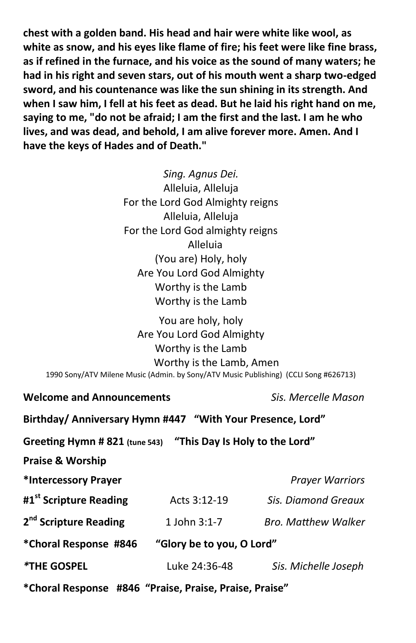**chest with a golden band. His head and hair were white like wool, as white as snow, and his eyes like flame of fire; his feet were like fine brass, as if refined in the furnace, and his voice as the sound of many waters; he had in his right and seven stars, out of his mouth went a sharp two-edged sword, and his countenance was like the sun shining in its strength. And when I saw him, I fell at his feet as dead. But he laid his right hand on me, saying to me, "do not be afraid; I am the first and the last. I am he who lives, and was dead, and behold, I am alive forever more. Amen. And I have the keys of Hades and of Death."**

> *Sing. Agnus Dei.* Alleluia, Alleluja For the Lord God Almighty reigns Alleluia, Alleluja For the Lord God almighty reigns Alleluia (You are) Holy, holy Are You Lord God Almighty Worthy is the Lamb Worthy is the Lamb

You are holy, holy Are You Lord God Almighty Worthy is the Lamb Worthy is the Lamb, Amen 1990 Sony/ATV Milene Music (Admin. by Sony/ATV Music Publishing) (CCLI Song #626713)

| <b>Welcome and Announcements</b>                              |                           | Sis. Mercelle Mason        |  |  |  |  |  |
|---------------------------------------------------------------|---------------------------|----------------------------|--|--|--|--|--|
| Birthday/ Anniversary Hymn #447 "With Your Presence, Lord"    |                           |                            |  |  |  |  |  |
| Greeting Hymn # 821 (tune 543) "This Day Is Holy to the Lord" |                           |                            |  |  |  |  |  |
| <b>Praise &amp; Worship</b>                                   |                           |                            |  |  |  |  |  |
| *Intercessory Prayer                                          |                           | <b>Prayer Warriors</b>     |  |  |  |  |  |
| #1 <sup>st</sup> Scripture Reading                            | Acts 3:12-19              | Sis. Diamond Greaux        |  |  |  |  |  |
| 2 <sup>nd</sup> Scripture Reading                             | 1 John 3:1-7              | <b>Bro. Matthew Walker</b> |  |  |  |  |  |
| *Choral Response #846                                         | "Glory be to you, O Lord" |                            |  |  |  |  |  |
| <b><i>*THE GOSPEL</i></b>                                     | Luke 24:36-48             | Sis. Michelle Joseph       |  |  |  |  |  |
| *Choral Response #846 "Praise, Praise, Praise, Praise"        |                           |                            |  |  |  |  |  |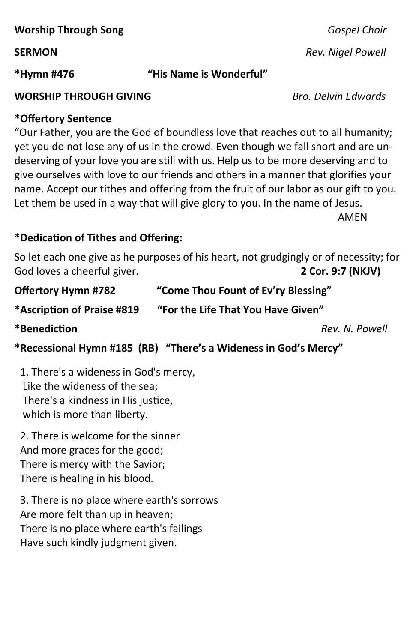**Worship Through Song Gospel Choir** *Gospel Choir* 

### **\*Hymn #476 "His Name is Wonderful"**

### **WORSHIP THROUGH GIVING** *Bro. Delvin Edwards*

### **\*Offertory Sentence**

"Our Father, you are the God of boundless love that reaches out to all humanity; yet you do not lose any of us in the crowd. Even though we fall short and are undeserving of your love you are still with us. Help us to be more deserving and to give ourselves with love to our friends and others in a manner that glorifies your name. Accept our tithes and offering from the fruit of our labor as our gift to you. Let them be used in a way that will give glory to you. In the name of Jesus.

AMEN

### \***Dedication of Tithes and Offering:**

So let each one give as he purposes of his heart, not grudgingly or of necessity; for God loves a cheerful giver. **2 Cor. 9:7 (NKJV)**

| Offertory Hymn #782 | "Come Thou Fount of Ev'ry Blessing" |
|---------------------|-------------------------------------|
|                     |                                     |

**\*Ascription of Praise #819 "For the Life That You Have Given"**

**\*Benediction** *Rev. N. Powell*

**\*Recessional Hymn #185 (RB) "There's a Wideness in God's Mercy"**

1. There's a wideness in God's mercy, Like the wideness of the sea; There's a kindness in His justice, which is more than liberty.

2. There is welcome for the sinner And more graces for the good; There is mercy with the Savior; There is healing in his blood.

3. There is no place where earth's sorrows Are more felt than up in heaven; There is no place where earth's failings Have such kindly judgment given.

**SERMON** *Rev. Nigel Powell*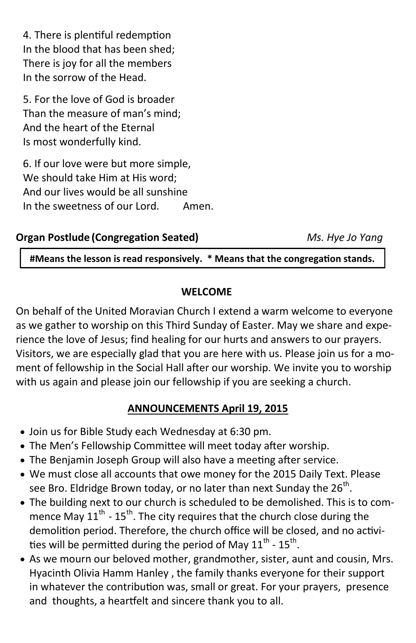4. There is plentiful redemption In the blood that has been shed; There is joy for all the members In the sorrow of the Head.

5. For the love of God is broader Than the measure of man's mind; And the heart of the Eternal Is most wonderfully kind.

6. If our love were but more simple, We should take Him at His word; And our lives would be all sunshine In the sweetness of our Lord. Amen.

# **Organ Postlude (Congregation Seated)** *Ms. Hye Jo Yang*

**#Means the lesson is read responsively. \* Means that the congregation stands.** 

### **WELCOME**

On behalf of the United Moravian Church I extend a warm welcome to everyone as we gather to worship on this Third Sunday of Easter. May we share and experience the love of Jesus; find healing for our hurts and answers to our prayers. Visitors, we are especially glad that you are here with us. Please join us for a moment of fellowship in the Social Hall after our worship. We invite you to worship with us again and please join our fellowship if you are seeking a church.

### **ANNOUNCEMENTS April 19, 2015**

- Join us for Bible Study each Wednesday at 6:30 pm.
- The Men's Fellowship Committee will meet today after worship.
- The Benjamin Joseph Group will also have a meeting after service.
- We must close all accounts that owe money for the 2015 Daily Text. Please see Bro. Eldridge Brown today, or no later than next Sunday the 26<sup>th</sup>.
- The building next to our church is scheduled to be demolished. This is to commence May 11<sup>th</sup> - 15<sup>th</sup>. The city requires that the church close during the demolition period. Therefore, the church office will be closed, and no activities will be permitted during the period of May 11<sup>th</sup> - 15<sup>th</sup>.
- As we mourn our beloved mother, grandmother, sister, aunt and cousin, Mrs. Hyacinth Olivia Hamm Hanley , the family thanks everyone for their support in whatever the contribution was, small or great. For your prayers, presence and thoughts, a heartfelt and sincere thank you to all.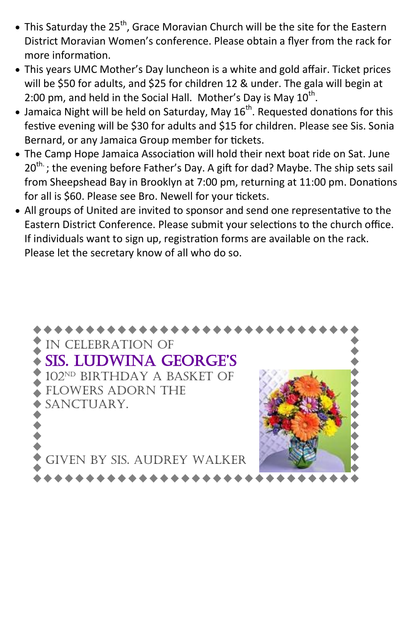- This Saturday the 25<sup>th</sup>, Grace Moravian Church will be the site for the Eastern District Moravian Women's conference. Please obtain a flyer from the rack for more information.
- This years UMC Mother's Day luncheon is a white and gold affair. Ticket prices will be \$50 for adults, and \$25 for children 12 & under. The gala will begin at 2:00 pm, and held in the Social Hall. Mother's Day is May  $10^{\text{th}}$ .
- Jamaica Night will be held on Saturday, May  $16<sup>th</sup>$ . Requested donations for this festive evening will be \$30 for adults and \$15 for children. Please see Sis. Sonia Bernard, or any Jamaica Group member for tickets.
- The Camp Hope Jamaica Association will hold their next boat ride on Sat. June 20<sup>th.</sup>; the evening before Father's Day. A gift for dad? Maybe. The ship sets sail from Sheepshead Bay in Brooklyn at 7:00 pm, returning at 11:00 pm. Donations for all is \$60. Please see Bro. Newell for your tickets.
- All groups of United are invited to sponsor and send one representative to the Eastern District Conference. Please submit your selections to the church office. If individuals want to sign up, registration forms are available on the rack. Please let the secretary know of all who do so.

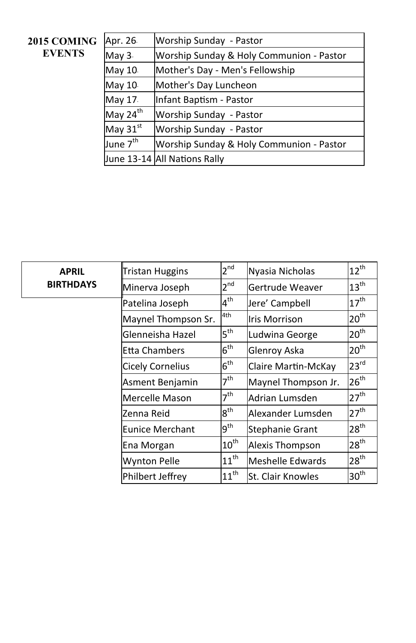### **2015 COMING EVENTS**

| Apr. 26              | Worship Sunday - Pastor                  |
|----------------------|------------------------------------------|
| May $3-$             | Worship Sunday & Holy Communion - Pastor |
| May 10               | Mother's Day - Men's Fellowship          |
| May 10               | Mother's Day Luncheon                    |
| May 17               | Infant Baptism - Pastor                  |
| May 24 <sup>th</sup> | Worship Sunday - Pastor                  |
| May 31st             | Worship Sunday - Pastor                  |
| June 7 <sup>th</sup> | Worship Sunday & Holy Communion - Pastor |
|                      | June 13-14 All Nations Rally             |

| <b>APRIL</b>     | <b>Tristan Huggins</b> | $2^{nd}$         | Nyasia Nicholas          | $12^{th}$        |
|------------------|------------------------|------------------|--------------------------|------------------|
| <b>BIRTHDAYS</b> | Minerva Joseph         | 2 <sup>nd</sup>  | Gertrude Weaver          | $13^{\text{th}}$ |
|                  | Patelina Joseph        | $4^{\text{th}}$  | Jere' Campbell           | $17^{\text{th}}$ |
|                  | Maynel Thompson Sr.    | 4th              | Iris Morrison            | 20 <sup>th</sup> |
|                  | Glenneisha Hazel       | $5^{\text{th}}$  | Ludwina George           | 20 <sup>th</sup> |
|                  | Etta Chambers          | $6^{\text{th}}$  | Glenroy Aska             | 20 <sup>th</sup> |
|                  | Cicely Cornelius       | $6^{\text{th}}$  | Claire Martin-McKay      | $23^{\text{rd}}$ |
|                  | Asment Benjamin        | 7 <sup>th</sup>  | Maynel Thompson Jr.      | $26^{\text{th}}$ |
|                  | <b>Mercelle Mason</b>  | 7 <sup>th</sup>  | Adrian Lumsden           | 27 <sup>th</sup> |
|                  | Zenna Reid             | $8^{\text{th}}$  | Alexander Lumsden        | 27 <sup>th</sup> |
|                  | <b>Eunice Merchant</b> | g <sup>th</sup>  | <b>Stephanie Grant</b>   | $28^{\text{th}}$ |
|                  | Ena Morgan             | $10^{\sf th}$    | Alexis Thompson          | $28^{th}$        |
|                  | <b>Wynton Pelle</b>    | $11^{\text{th}}$ | Meshelle Edwards         | $28^{th}$        |
|                  | Philbert Jeffrey       | $11^{\text{th}}$ | <b>St. Clair Knowles</b> | 30 <sup>th</sup> |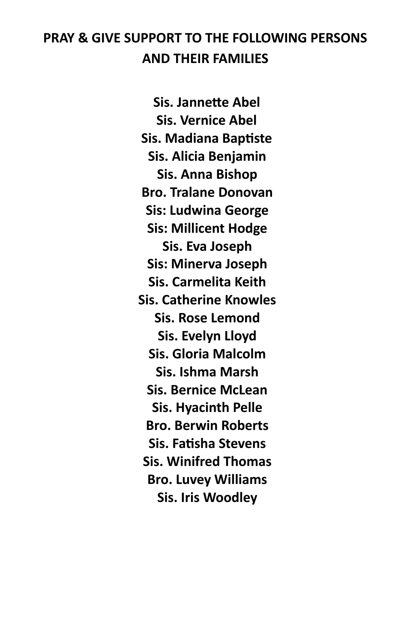# **PRAY & GIVE SUPPORT TO THE FOLLOWING PERSONS AND THEIR FAMILIES**

**Sis. Jannette Abel Sis. Vernice Abel Sis. Madiana Baptiste Sis. Alicia Benjamin Sis. Anna Bishop Bro. Tralane Donovan Sis: Ludwina George Sis: Millicent Hodge Sis. Eva Joseph Sis: Minerva Joseph Sis. Carmelita Keith Sis. Catherine Knowles Sis. Rose Lemond Sis. Evelyn Lloyd Sis. Gloria Malcolm Sis. Ishma Marsh Sis. Bernice McLean Sis. Hyacinth Pelle Bro. Berwin Roberts Sis. Fatisha Stevens Sis. Winifred Thomas Bro. Luvey Williams Sis. Iris Woodley**